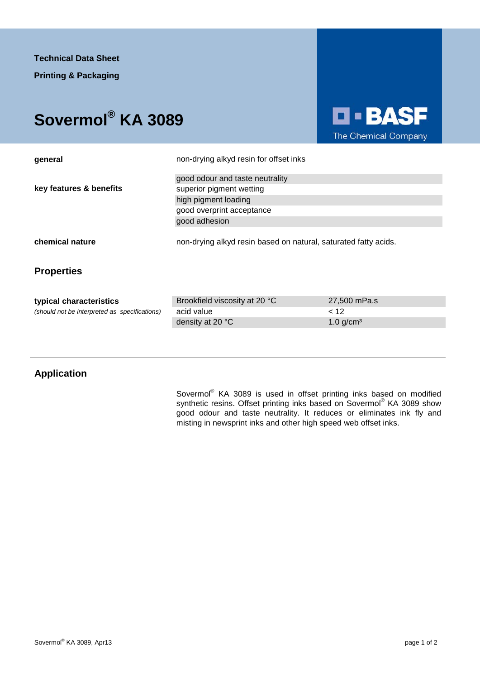## **Sovermol® KA 3089**



| general                 | non-drying alkyd resin for offset inks<br>good odour and taste neutrality |                                                                 |  |
|-------------------------|---------------------------------------------------------------------------|-----------------------------------------------------------------|--|
|                         |                                                                           |                                                                 |  |
| key features & benefits | superior pigment wetting                                                  |                                                                 |  |
|                         | high pigment loading                                                      |                                                                 |  |
|                         | good overprint acceptance                                                 |                                                                 |  |
|                         | good adhesion                                                             |                                                                 |  |
| chemical nature         |                                                                           | non-drying alkyd resin based on natural, saturated fatty acids. |  |
| <b>Properties</b>       |                                                                           |                                                                 |  |
|                         |                                                                           |                                                                 |  |
| tynical characteristics | Brookfield viscosity at 20 °C                                             | $27,500$ mPa s                                                  |  |

| typical characteristics                       | Brookfield viscosity at 20 °C | 27.500 mPa.s            |
|-----------------------------------------------|-------------------------------|-------------------------|
| (should not be interpreted as specifications) | acid value                    |                         |
|                                               | density at 20 °C              | $1.0$ g/cm <sup>3</sup> |

## **Application**

Sovermol<sup>®</sup> KA 3089 is used in offset printing inks based on modified synthetic resins. Offset printing inks based on Sovermol® KA 3089 show good odour and taste neutrality. It reduces or eliminates ink fly and misting in newsprint inks and other high speed web offset inks.